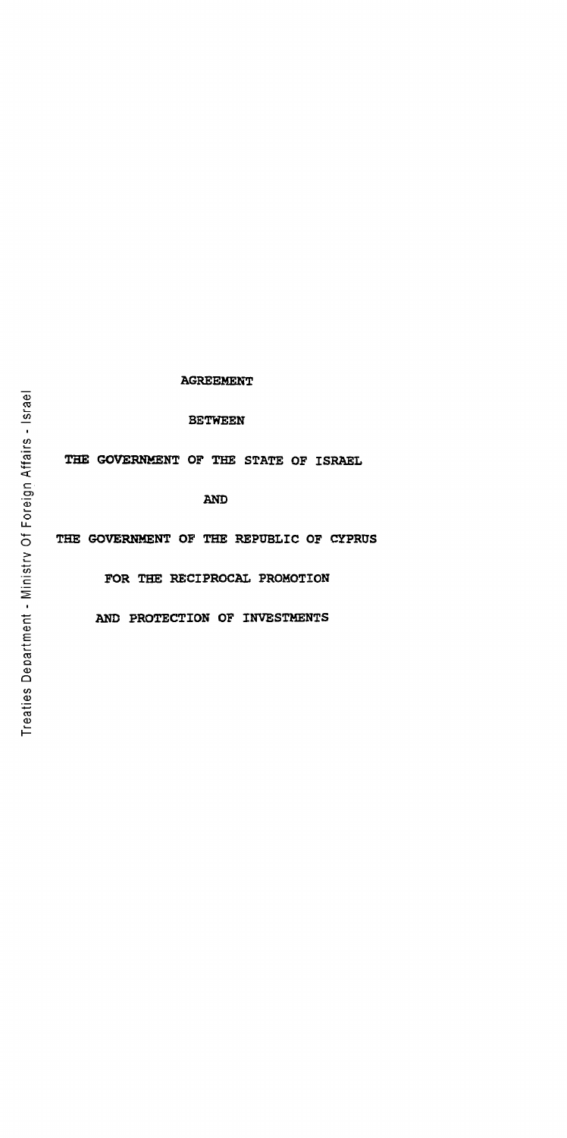# **AGREEMENT**

BETWEEN

THE GOVERNMENT OF THE STATE OF ISRAEL

AND

THE GOVERNMENT OF THE REPUBLIC OF CYPRUS

FOR THE RECIPROCAL PROMOTION

AND PROTECTION OF INVESTMENTS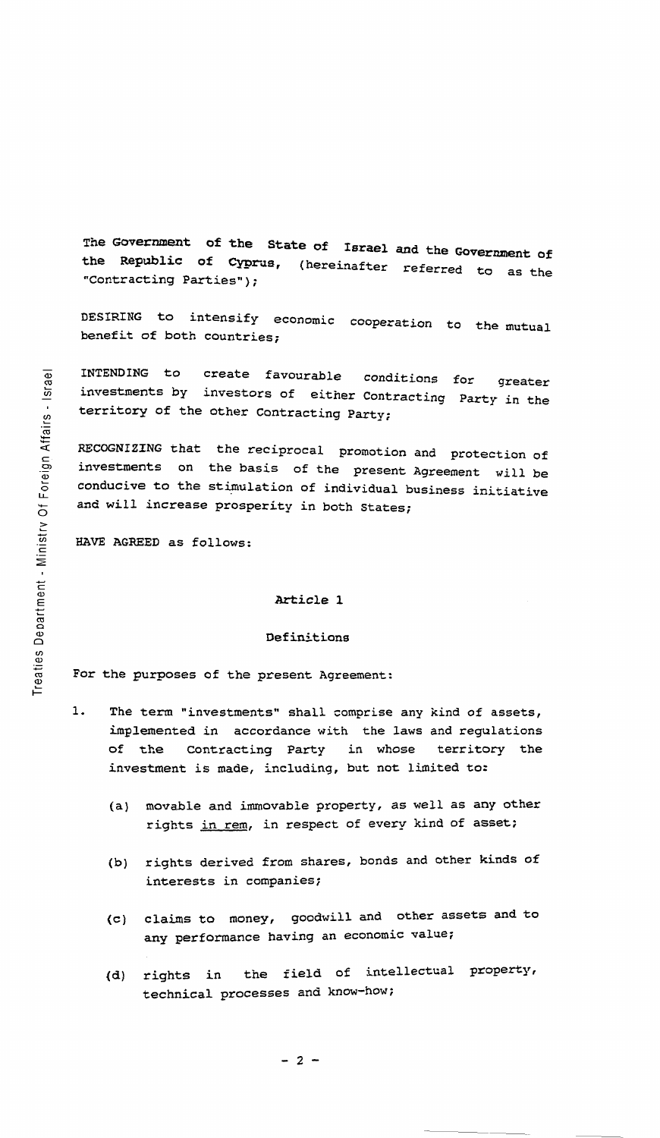The Government of the State of Israel and the Government of<br>the Republic of Cyprus. (hereinafter referred the (hereinafter referred to as the "Contracting Parties");

DESIRING to intensify economic cooperation to the mutual benefit of both countries;

INTENDING to create favourable conditions for investments by investors of either Contracting territory of the other Contracting Party; for greater Party in the

RECOGNIZING that the reciprocal promotion and protection of investments on the basis of the present Agreement will be conducive to the stimulation of individual business initiative and will increase prosperity in both States;

HAVE AGREED as follows:

## Article 1

# Definitions

For the purposes of the present Agreement:

- 1. The term "investments" shall comprise any kind of assets, implemented in accordance with the laws and regulations of the Contracting Party in whose territory the investment is made, including, but not limited to:
	- (a) movable and immovable property, as well as any other rights in rem, in respect of every kind of asset;
	- (b) rights derived from shares, bonds and other kinds of interests in companies;
	- (c) claims to money, goodwill and other assets and to any performance having an economic value;
	- {d} rights in the field of intellectual property, technical processes and know-how;

eign Affairs , Of For  $\geq$ ment es Depa .=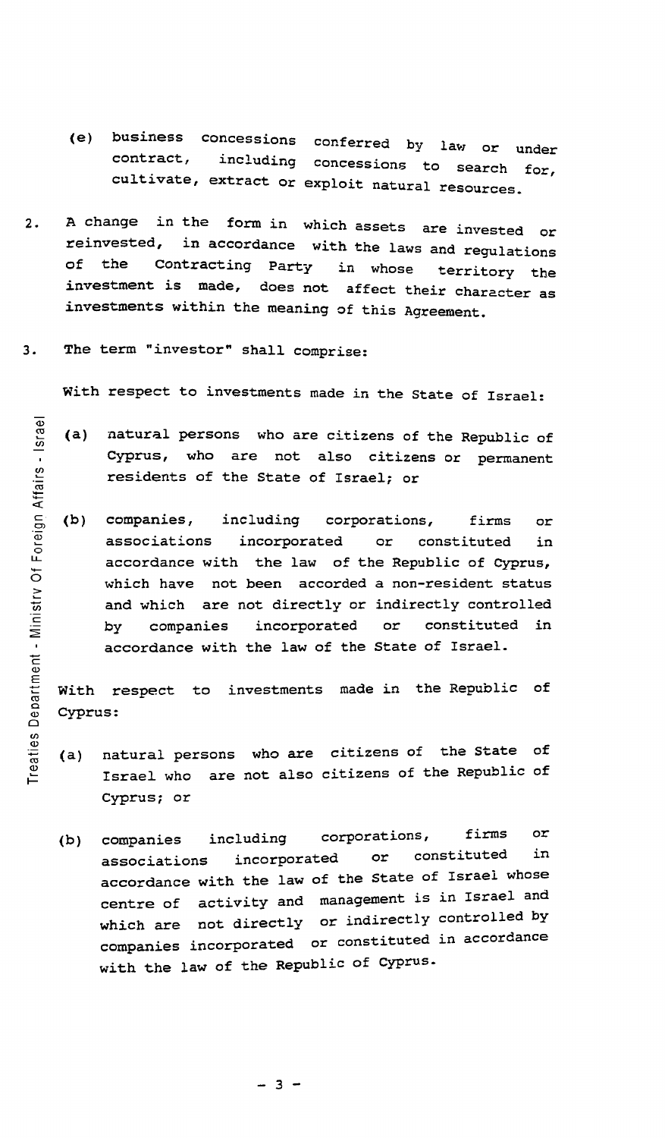- (e) business concessions conferred by law or under contract, including concessions to search f cultivate, extract or exploit natural resources. for,
- 2. A change in the form in which assets are invested or reinvested, in accordance with the laws and property in accordance with the laws and regulations of the contracting Party in whose territory the investment is made, does not affect their character as investments within the meaning of this Agreement.
- 3. The term "investor" shall comprise:

With respect to investments made in the State of Israel:

- (a) natural persons who are citizens of the Republic of Cyprus, who are not also citizens or permanent residents of the State of Israel; or
- (b) companies, including corporations, firms or associations incorporated or constituted in accordance with the law of the Republic of Cyprus, which have not been accorded a non-resident status and which are not directly or indirectly controlled by companies incorporated or constituted in accordance with the law of the State of Israel.

With respect to investments made in the Republic of Cyprus:

- (a) natural persons who are citizens of the state of Israel who are not also citizens of the Republic of cyprus; or
- (b) companies including corporations, firms or associations incorporated or constituted in accordance with the law of the State of Israel whose centre of activity and management is in Israel and which are not directly or indirectly controlled by companies incorporated or constituted in accordance with the law of the Republic of Cyprus.

 $- 3 -$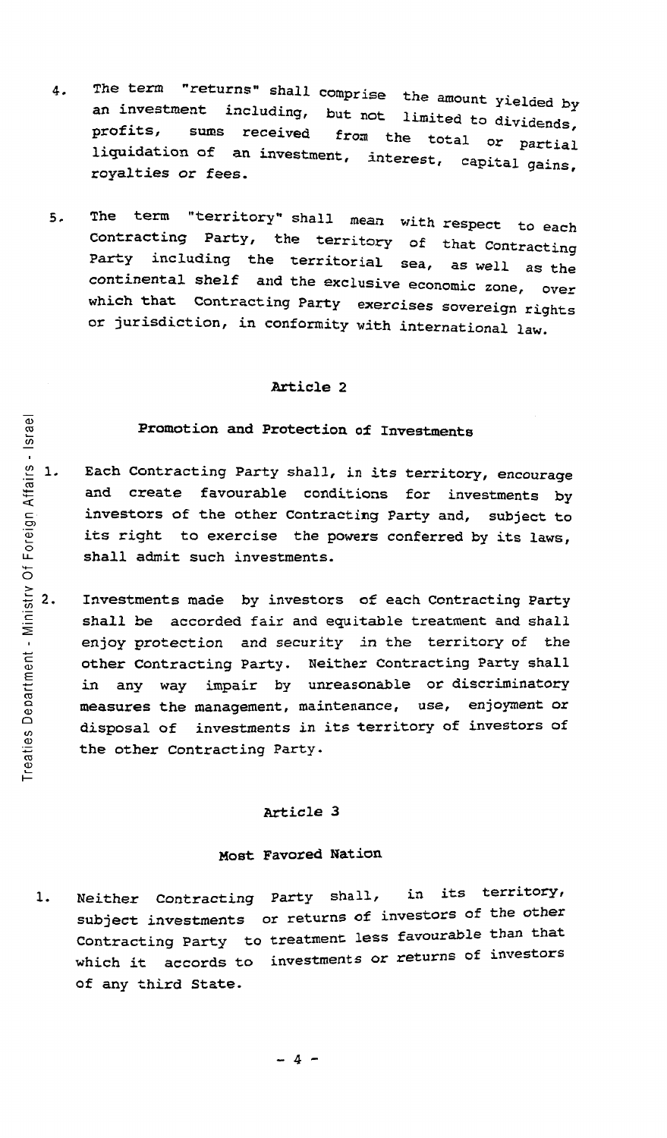- 4. The term "returns" shall comprise the amount yielded by an investment including, but not limited to dividends profits, sums received from the total or postical profits, sums received from the total or partial<br>liquidation of an investment, interest, capital gains rigardation of an investment, interest, capital gains,
- 5. The term "territory" shall mean with respect to each<br>Contracting Party, the territory of the s Contracting Party, the territory of that Contracting Party including the territorial sea, as well as the continental shelf and the exclusive economic zone, over which that Contracting Party exercises sovereign rights or jurisdiction, in conformity with international law.

# Promotion and Protection o£ Investments

- <sup>~</sup>1- Each Contracting Party shall, in its territory, encourage and create favourable conditions for investments by investors of the other contracting Party and, subject to its right to exercise the powers conferred by its laws, shall admit such investments.
- Investments made by investors of each contracting Party shall be accorded fair and equitable treatment and shall enjoy protection and security in the territory of the other contracting Party. Neither Contracting Party shall in any way impair by unreasonable or discriminatory measures the management, maintenance, use, enjoyment or disposal of investments in its territory of investors of the other Contracting Party.

### Article 3

## Most Favored Nation

1. Neither Contracting Party shall, in its subject investments or returns of investors of the other Contracting Party to treatment less favourable than that which it accords to of any third State. investments or returns of investors its territory,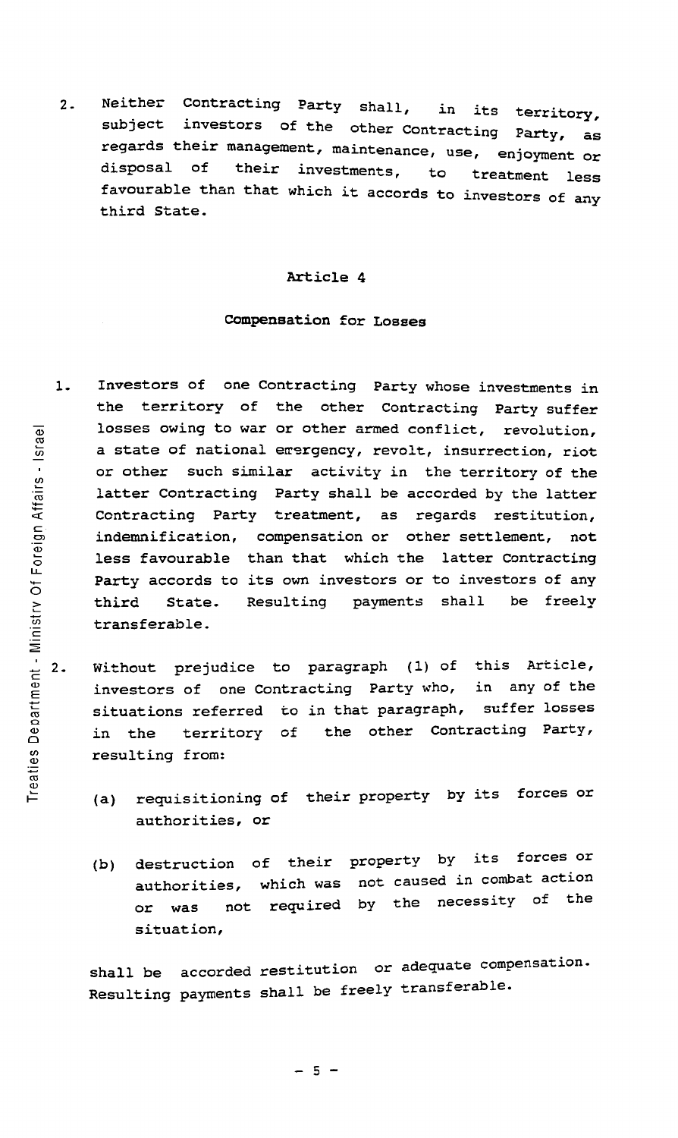2. Neither Contracting Party shall, in its territory, investors of the other Contracting Party, as regards their management, maintenance, use, enjoyment or subject disposal of their investments, to treatment less favourable than that which it accords to investors of any third State.

### Article 4

## COmpensation for Losses

- 1. Investors of one Contracting Party whose investments *in*  the territory of the other Contracting Party suffer losses owing to war or other armed conflict, revolution, a state of national erergency, revolt, insurrection, riot or other such similar activity in the territory of the latter Contracting Party shall be accorded by the latter Contracting Party treatment, as regards restitution, indemnification, compensation or other settlement, not less favourable than that which the latter Contracting Party accords to its own investors or to investors of any third State. Resulting payments shall be freely transferable.
- Without prejudice to paragraph (1) of this Article, investors of one Contracting Party who, in any of the situations referred to in that paragraph, suffer losses in the territory of the other Contracting Party, resulting from:
	- (a) requisitioning of their property by its forces or authorities, or
	- (b) destruction of their property by its forces or authorities, which was not caused in combat action or was not required by the necessity of the situation,

shall be accorded restitution or adequate compensation. Resulting payments shall be freely transferable.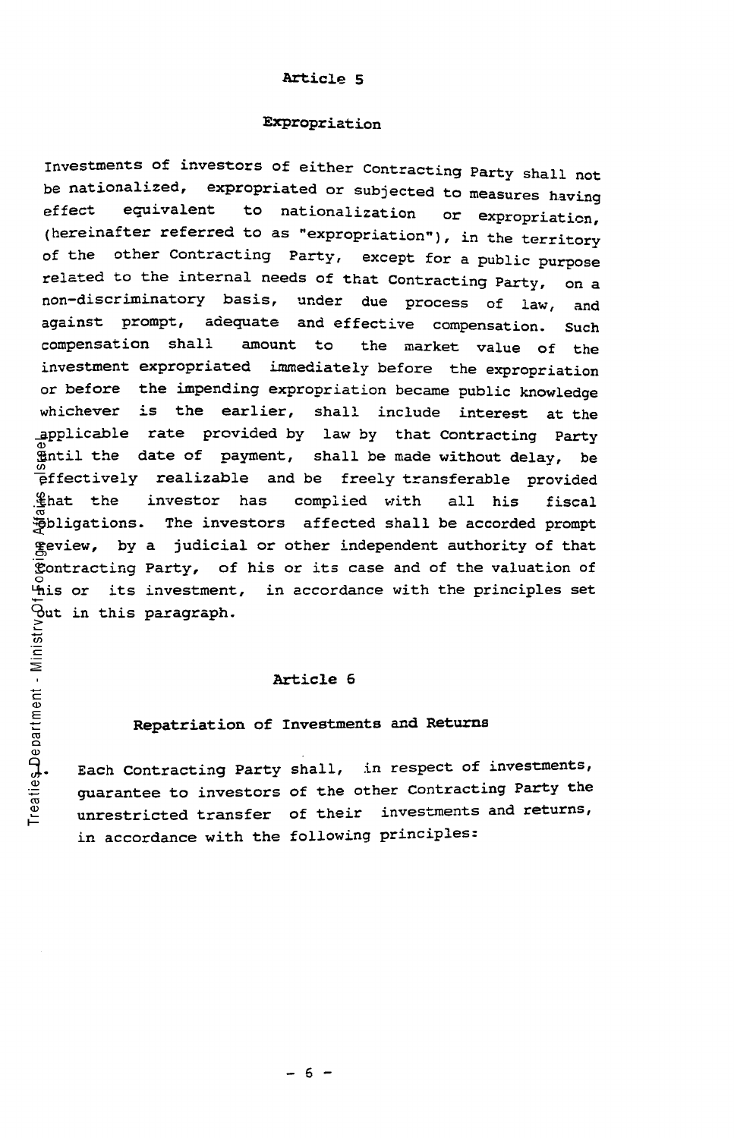### Expropriation

Investments of investors of either Contracting Party shall not be nationalized, expropriated or subjected to measures having effect equivalent to nationalization or expropriation, (hereinafter referred to as "expropriation"), in the territory of the other Contracting Party, except for a public purpose related to the internal needs of that Contracting Party, on a non-discriminatory basis, under due process of law, and against prompt, adequate and effective compensation. Such compensation shall amount to the market value of the investment expropriated immediately before the expropriation or before the impending expropriation became public knowledge whichever is the earlier, shall include interest at the applicable rate provided by law by that Contracting Party  $x$  intil the date of payment, shall be made without delay, be  $e$ ffectively realizable and be freely transferable provided  $%$ hat the investor has complied with all his fiscal ~bligations. The investors affected shall be accorded prompt ~eview, by a judicial or other independent authority of that  $\mathcal{L}_{\text{contracting Party}}$ , of his or its case and of the valuation of ~is or its investment, in accordance with the principles set <del>.</del><br>⊖ut in this paragraph.<br>≥

### Article 6

c

men<br>E

### Repatriation of Investments and Returns

Each Contracting Party shall, in respect of investments, guarantee to investors of the other contracting Party the unrestricted transfer of their investments and returns, in accordance with the following principles: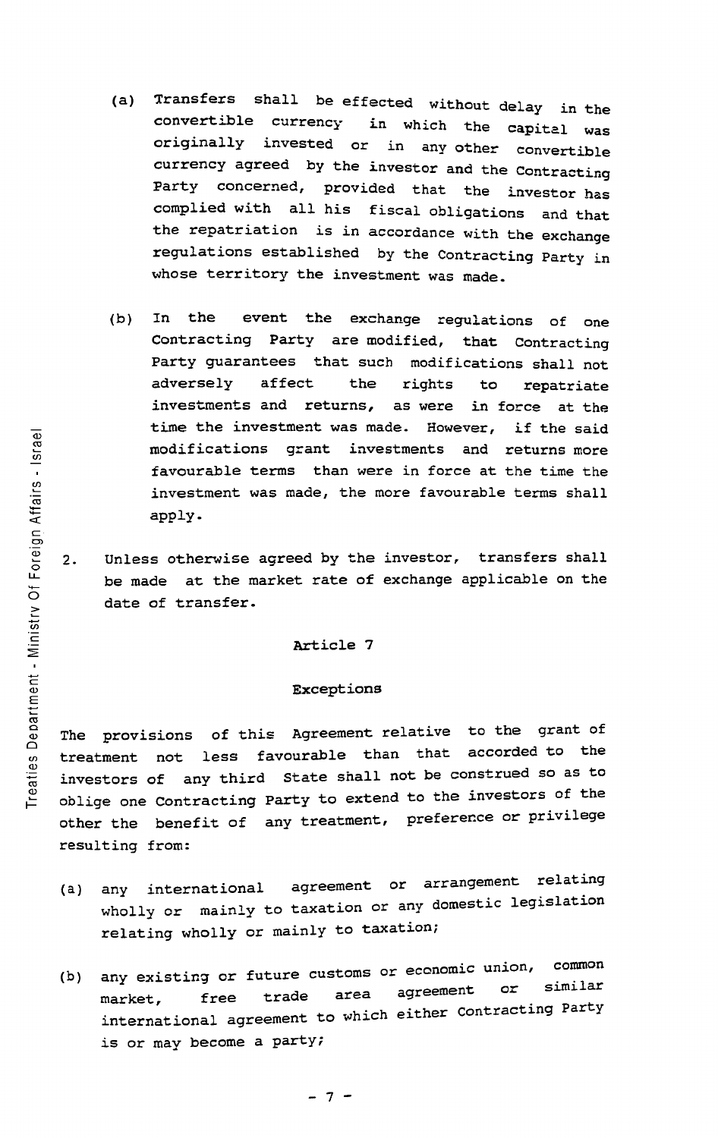- (a) Transfers shall be effected without delay *in* the in which the capital was originally invested or in any other convertible currency agreed by the investor and the Contracting Party concerned, provided that the investor has complied with all his fiscal obligations and that the repatriation is in accordance with the exchange regulations established by the Contracting Party in whose territory the investment was made.
- (b) In the event the exchange regulations of one Contracting Party are modified, that Contracting Party guarantees that such modifications shall not adversely affect the rights to repatriate investments and returns, as were in force at the time the investment was made. However, if the said modifications grant investments and returns more favourable terms than were *in* force at the time the investment was made, the more favourable terms shall apply.
- 2. Unless otherwise agreed by the investor, transfers shall be made at the market rate of exchange applicable on the date of transfer.

### Exceptions

The provisions of this Agreement relative to the grant of treatment not less favourable than that accorded to the investors of any third state shall not be construed so as to oblige one Contracting Party to extend to the investors of the other the benefit of any treatment, preference or privilege resulting from:

- (a) any international agreement or arrangement relating wholly or mainly to taxation or any domestic legislation relating wholly or mainly to taxation;
- (b) any existing or future customs or economic union, common market, free trade area agreement or similar marker, Tree crace of the either Contracting Party is or may become a party;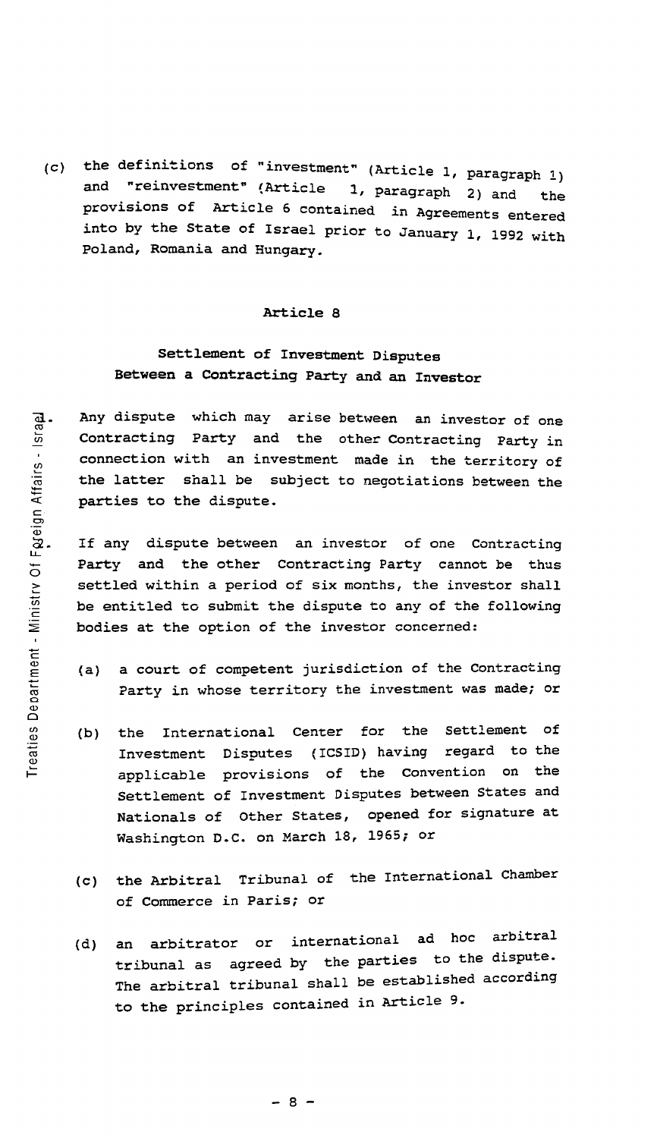(c) the definitions of "investment" (Article 1, paragraph 1)<br>and "reinvestment" (Article 1 paragraph 2) "reinvestment" (Article 1, paragraph 2) and the provisions of Article 6 contained in Agreements entered into by the State of Israel prior to January 1, 1992 with poland, Romania and Hungary.

## Article 8

# Settlement of Investment Disputes Between a Contracting Party and an Investor

Any dispute which may arise between an investor of one Contracting Party and the other Contracting Party in connection with an investment made in the territory of the latter shall be subject to negotiations between the parties to the dispute.

If any dispute between an investor of one Contracting Party and the other Contracting Party cannot be thus settled within a period of six months, the investor shall be entitled to submit the dispute to any of the following bodies at the option of the investor concerned:

- (a) a court of competent jurisdiction of the Contracting Party in whose territory the investment was made; or
- (b) the International Center for the Investment Disputes (ICSID) having Settlement of regard to the applicable provisions of the convention on the Settlement of Investment Disputes between states and Nationals of Other States, opened for signature at Washington D.C. on March 18, 1965; or
- (c) the Arbitral Tribunal of the International Chamber of Commerce in Paris; or
- (d) an arbitrator or international ad hoc arbitral tribunal as agreed by the parties to the dispute. The arbitral tribunal shall be established according to the principles contained in Article 9.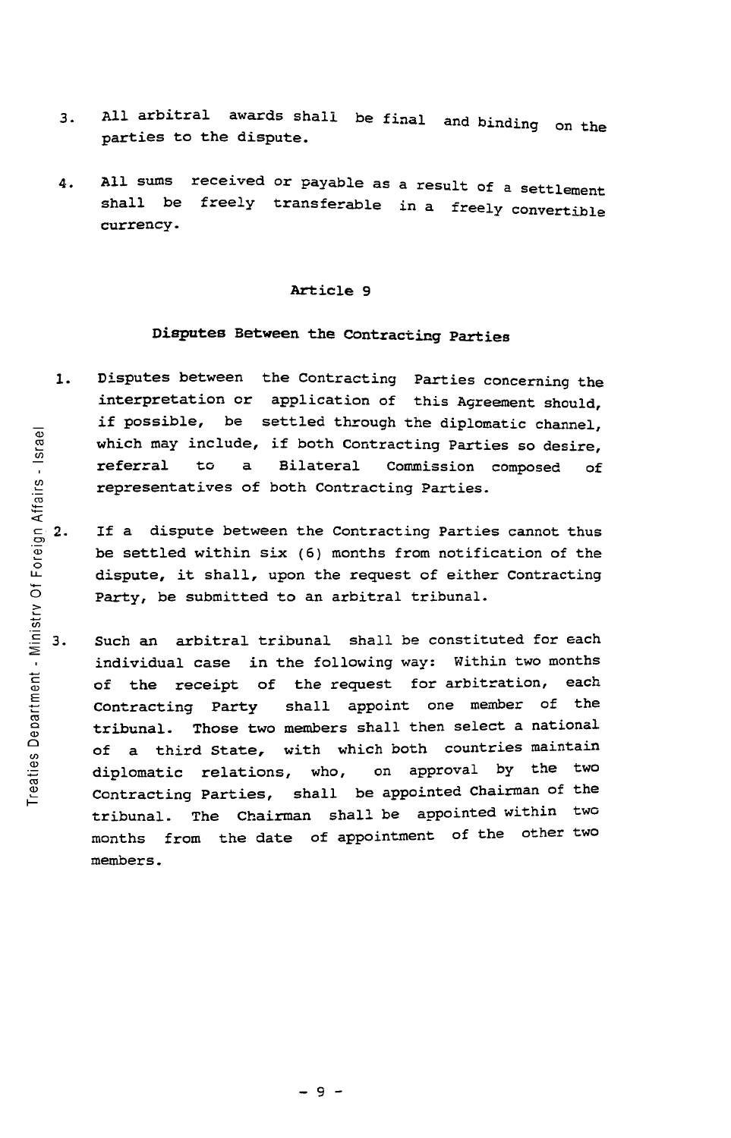- 3. All arbitral awards shall be final and binding on the parties to the dispute.
- 4. All sums received or payable as a result of a settlement shall be freely transferable in a freely convertible currency.

# Disputes Between the COntracting Parties

- 1. Disputes between the Contracting Parties concerning the interpretation or application of this Agreement should, if possible, be settled through the diplomatic channel, which may include, if both Contracting Parties so desire, referral to a Bilateral Commission composed of representatives of both Contracting Parties.
- $\frac{5}{9}$  2. If a dispute between the Contracting Parties cannot thus be settled within six (6) months from notification of the dispute, it shall, upon the request of either contracting Party, be submitted to an arbitral tribunal.
	- Such an arbitral tribunal shall be constituted for each З. individual case in the following way: Within two months of the receipt of the request for arbitration, each Contracting Party shall appoint one member of the tribunal. Those two members shall then select a national of a third State, with which both countries maintain diplomatic relations, who, on approval by the two Contracting Parties, shall be appointed Chairman of the tribunal. The Chairman shall be appointed within two months from the date of appointment of the other two members.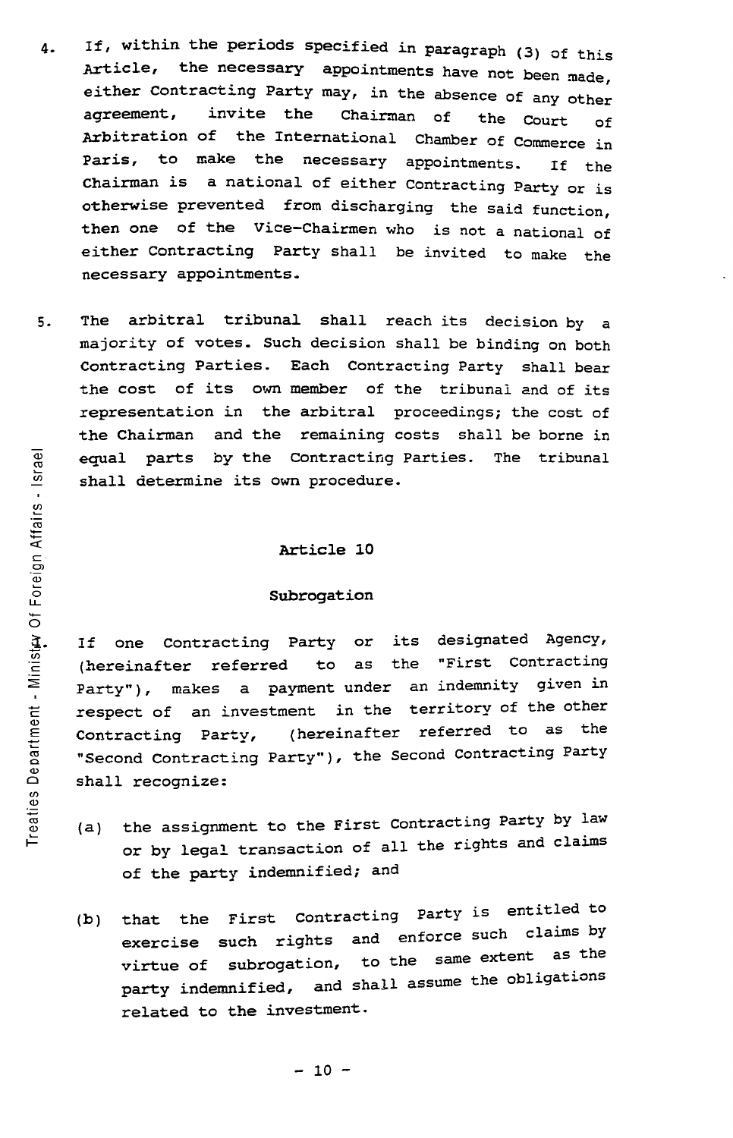- 4. If, within the periods specified in paragraph (3) of this Article, the necessary appointments have not been made, either contracting Party may, in the absence of any other agreement, invite the Chairman of the Court of Arbitration of the International Chamber of Commerce in Paris, to make the necessary appointments. If the Chairman is a national of either Contracting Party or is otherwise prevented from discharging the said function, then one of the Vice-Chairmen who is not a national of either Contracting Party shall be invited to make the necessary appointments.
- 5. The arbitral tribunal shall reach its decision by a majority of votes. Such decision shall be binding on both contracting Parties. Each Contracting Party shall bear the cost of its own member of the tribunal and of its representation in the arbitral proceedings; the cost of the Chairman and the remaining costs shall be borne in equal parts by the Contracting Parties. The tribunal shall determine its own procedure.

### Subrogation

If one Contracting Party or its designated Agency,<br>(hereinafter referred to as the "First Contracting (hereinafter referred to as the Party"), makes a payment under an indemnity given in respect of an investment in the territory of the other Contracting Party, (hereinafter referred to as the "Second Contracting Party"), the Second contracting Party shall recognize:

- (a) the assignment to the First contracting Party by law or by legal transaction of all the rights and claims of the party indemnified; and
- $(b)$ that the First Contracting Party is entitled to exercise such rights and enforce such claims by virtue of subrogation, to the same extent party indemnified, and shall assume the obligations related to the investment.

ro n Affairs e<br>a<br>o , Of For il. in c meni es Depa Trea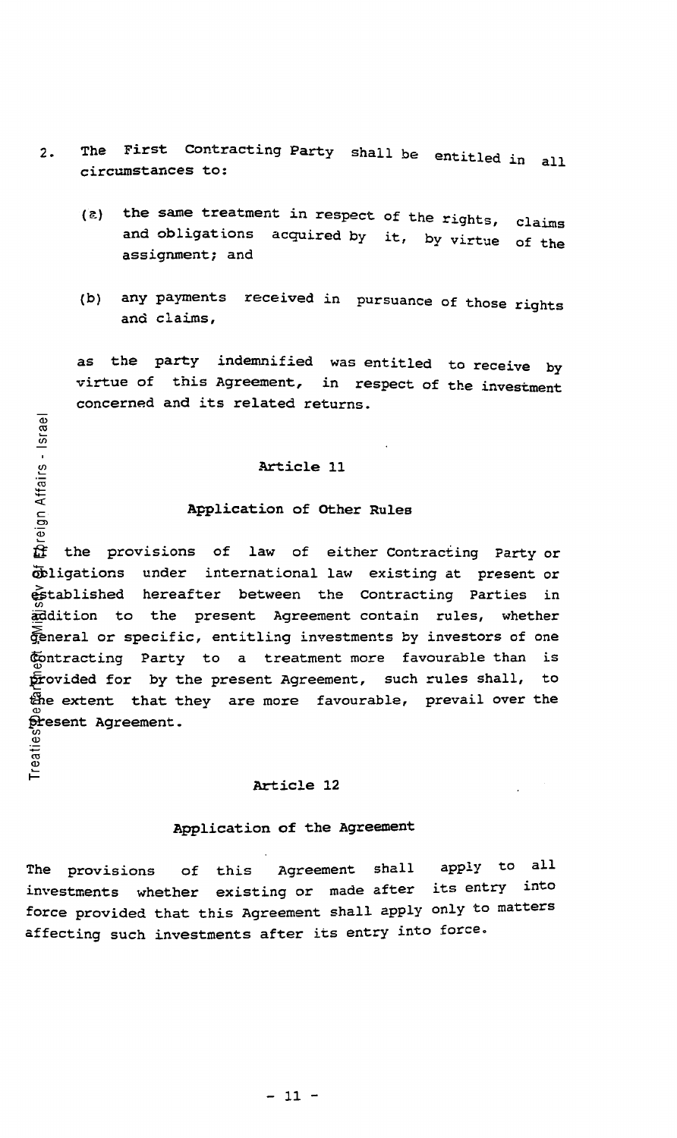- 2. The First Contracting Party shall be entitled in all circumstances to:
	- $(5)$ the same treatment in respect of the rights, and obligations acquired by it, by virtue assignment; and claims of the
	- (b) any payments received in pursuance of those rights and claims,

as the party indemnified was entitled to receive by virtue of this Agreement, in respect of the investment concerned and its related returns.

## Article 11

## Application of other Rules

When the provisions of law of either Contracting Party or<br>
the provisions of law of either Contracting Party or Obligations under international law existing at present or  $e$ stablished hereafter between the Contracting Parties in addition to the present Agreement contain rules, whether General or specific, entitling investments by investors of one Contracting Party to a treatment more favourable than is provided for by the present Agreement, such rules shall, to the extent that they are more favourable, prevail over the present Agreement.<br>00

### Article 12

# Application of the Agreement

The provisions of this Agreement shall apply to all investments whether existing or made after its entry into force provided that this Agreement shall apply only to matters affecting such investments after its entry into force.